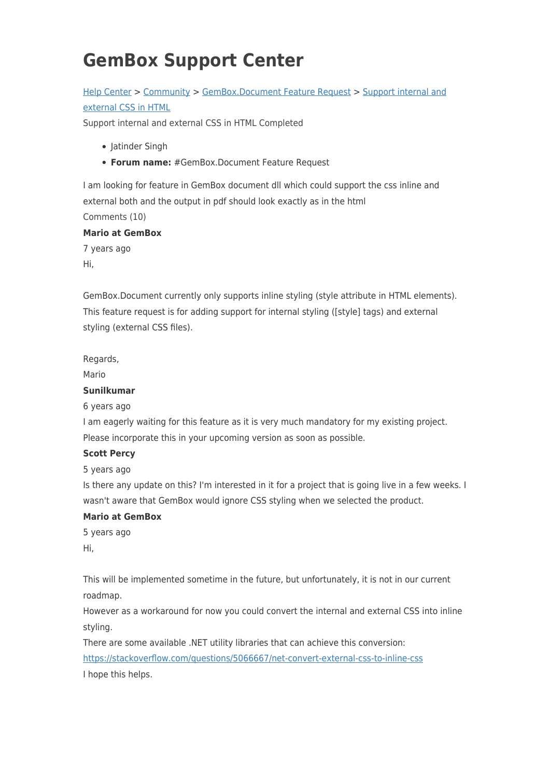# **GemBox Support Center**

# [Help Center](https://support.gemboxsoftware.com/) > [Community](https://support.gemboxsoftware.com/community) > [GemBox.Document Feature Request](https://support.gemboxsoftware.com/community/browse/type-2/view-list/viewmode-compact) > [Support internal and](https://support.gemboxsoftware.com/community/view/support-internal-and-external-css-in-html-2) [external CSS in HTML](https://support.gemboxsoftware.com/community/view/support-internal-and-external-css-in-html-2)

Support internal and external CSS in HTML Completed

- Jatinder Singh
- **Forum name:** #GemBox.Document Feature Request

I am looking for feature in GemBox document dll which could support the css inline and external both and the output in pdf should look exactly as in the html Comments (10)

### **Mario at GemBox**

7 years ago Hi,

GemBox.Document currently only supports inline styling (style attribute in HTML elements). This feature request is for adding support for internal styling ([style] tags) and external styling (external CSS files).

Regards,

Mario

#### **Sunilkumar**

6 years ago

I am eagerly waiting for this feature as it is very much mandatory for my existing project. Please incorporate this in your upcoming version as soon as possible.

#### **Scott Percy**

5 years ago

Is there any update on this? I'm interested in it for a project that is going live in a few weeks. I wasn't aware that GemBox would ignore CSS styling when we selected the product.

## **Mario at GemBox**

5 years ago Hi,

This will be implemented sometime in the future, but unfortunately, it is not in our current roadmap.

However as a workaround for now you could convert the internal and external CSS into inline styling.

There are some available .NET utility libraries that can achieve this conversion:

<https://stackoverflow.com/questions/5066667/net-convert-external-css-to-inline-css> I hope this helps.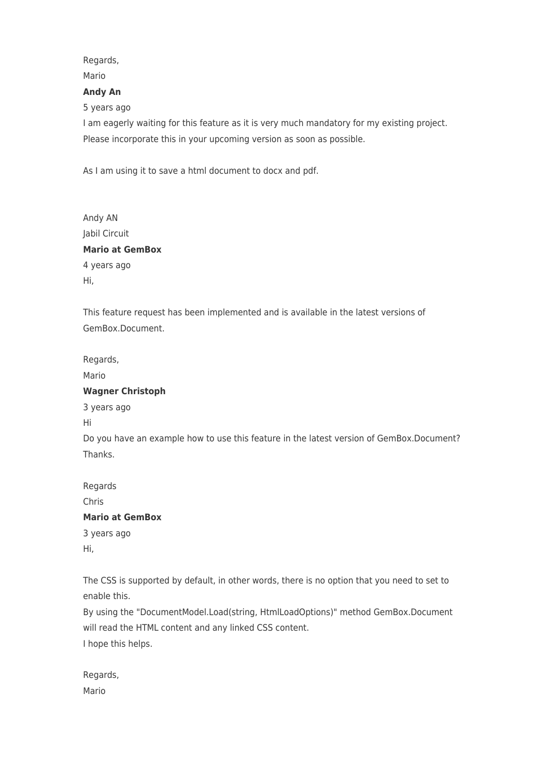# Regards,

## Mario

#### **Andy An**

5 years ago

I am eagerly waiting for this feature as it is very much mandatory for my existing project. Please incorporate this in your upcoming version as soon as possible.

As I am using it to save a html document to docx and pdf.

| Andy AN                |
|------------------------|
| Jabil Circuit          |
| <b>Mario at GemBox</b> |
| 4 years ago            |
| Hi,                    |

This feature request has been implemented and is available in the latest versions of GemBox.Document.

Regards,

Mario

### **Wagner Christoph**

3 years ago

Hi

Do you have an example how to use this feature in the latest version of GemBox.Document? Thanks.

Regards Chris

## **Mario at GemBox**

3 years ago Hi,

The CSS is supported by default, in other words, there is no option that you need to set to enable this.

By using the "DocumentModel.Load(string, HtmlLoadOptions)" method GemBox.Document will read the HTML content and any linked CSS content.

I hope this helps.

Regards, Mario